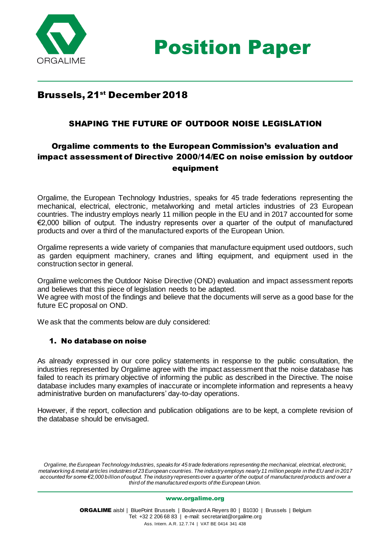



# Brussels, 21<sup>st</sup> December 2018

## SHAPING THE FUTURE OF OUTDOOR NOISE LEGISLATION

# Orgalime comments to the European Commission's evaluation and impact assessment of Directive 2000/14/EC on noise emission by outdoor equipment

Orgalime, the European Technology Industries, speaks for 45 trade federations representing the mechanical, electrical, electronic, metalworking and metal articles industries of 23 European countries. The industry employs nearly 11 million people in the EU and in 2017 accounted for some €2,000 billion of output. The industry represents over a quarter of the output of manufactured products and over a third of the manufactured exports of the European Union.

Orgalime represents a wide variety of companies that manufacture equipment used outdoors, such as garden equipment machinery, cranes and lifting equipment, and equipment used in the construction sector in general.

Orgalime welcomes the Outdoor Noise Directive (OND) evaluation and impact assessment reports and believes that this piece of legislation needs to be adapted. We agree with most of the findings and believe that the documents will serve as a good base for the future EC proposal on OND.

We ask that the comments below are duly considered:

#### 1. No database on noise

As already expressed in our core policy statements in response to the public consultation, the industries represented by Orgalime agree with the impact assessment that the noise database has failed to reach its primary objective of informing the public as described in the Directive. The noise database includes many examples of inaccurate or incomplete information and represents a heavy administrative burden on manufacturers' day-to-day operations.

However, if the report, collection and publication obligations are to be kept, a complete revision of the database should be envisaged.

*Orgalime, the European Technology Industries, speaks for 45 trade federations representing the mechanical, electrical, electronic, metalworking & metal articles industries of 23 European countries. The industry employs nearly 11 million people in the EU and in 2017 accounted for some €2,000 billion of output. The industry represents over a quarter of the output of manufactured products and over a third of the manufactured exports of the European Union.*

[www.orgalime.org](http://www.orgalime.org/)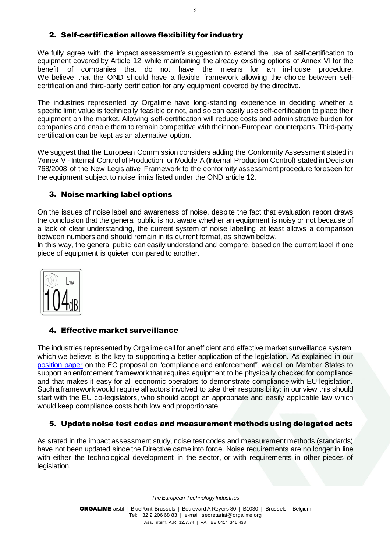## 2. Self-certification allows flexibility for industry

We fully agree with the impact assessment's suggestion to extend the use of self-certification to equipment covered by Article 12, while maintaining the already existing options of Annex VI for the benefit of companies that do not have the means for an in-house procedure. We believe that the OND should have a flexible framework allowing the choice between selfcertification and third-party certification for any equipment covered by the directive.

The industries represented by Orgalime have long-standing experience in deciding whether a specific limit value is technically feasible or not, and so can easily use self-certification to place their equipment on the market. Allowing self-certification will reduce costs and administrative burden for companies and enable them to remain competitive with their non-European counterparts.Third-party certification can be kept as an alternative option.

We suggest that the European Commission considers adding the Conformity Assessment stated in 'Annex V - Internal Control of Production' or Module A (Internal Production Control) stated in Decision 768/2008 of the New Legislative Framework to the conformity assessment procedure foreseen for the equipment subject to noise limits listed under the OND article 12.

### 3. Noise marking label options

On the issues of noise label and awareness of noise, despite the fact that evaluation report draws the conclusion that the general public is not aware whether an equipment is noisy or not because of a lack of clear understanding, the current system of noise labelling at least allows a comparison between numbers and should remain in its current format, as shown below.

In this way, the general public can easily understand and compare, based on the current label if one piece of equipment is quieter compared to another.



### 4. Effective market surveillance

The industries represented by Orgalime call for an efficient and effective market surveillance system, which we believe is the key to supporting a better application of the legislation. As explained in our [position paper](http://www.orgalime.org/sites/default/files/position-papers/2018-04-05%20Orgalime%20position%20on%20Compliance%20and%20Enforcement.pdf) on the EC proposal on "compliance and enforcement", we call on Member States to support an enforcement framework that requires equipment to be physically checked for compliance and that makes it easy for all economic operators to demonstrate compliance with EU legislation. Such a framework would require all actors involved to take their responsibility: in our view this should start with the EU co-legislators, who should adopt an appropriate and easily applicable law which would keep compliance costs both low and proportionate.

### 5. Update noise test codes and measurement methods using delegated acts

As stated in the impact assessment study, noise test codes and measurement methods (standards) have not been updated since the Directive came into force. Noise requirements are no longer in line with either the technological development in the sector, or with requirements in other pieces of legislation.